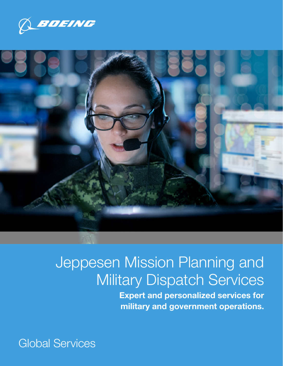



# Jeppesen Mission Planning and Military Dispatch Services

Expert and personalized services for military and government operations.

Global Services